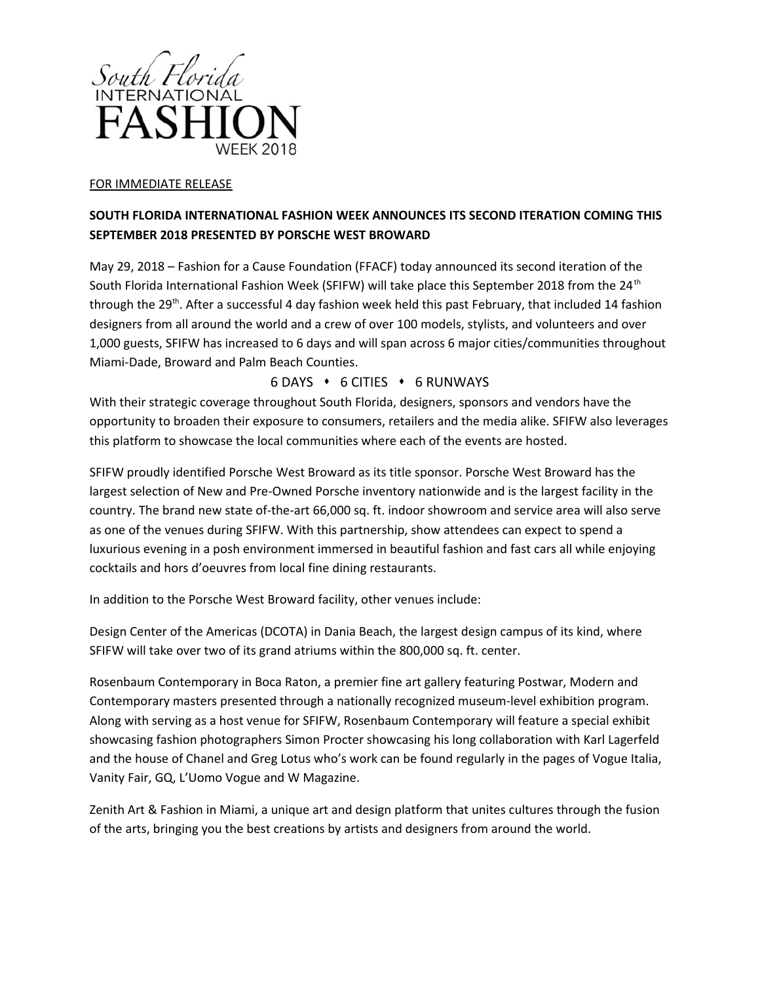

## FOR IMMEDIATE RELEASE

## **SOUTH FLORIDA INTERNATIONAL FASHION WEEK ANNOUNCES ITS SECOND ITERATION COMING THIS SEPTEMBER 2018 PRESENTED BY PORSCHE WEST BROWARD**

May 29, 2018 – Fashion for a Cause Foundation (FFACF) today announced its second iteration of the South Florida International Fashion Week (SFIFW) will take place this September 2018 from the 24<sup>th</sup> through the 29<sup>th</sup>. After a successful 4 day fashion week held this past February, that included 14 fashion designers from all around the world and a crew of over 100 models, stylists, and volunteers and over 1,000 guests, SFIFW has increased to 6 days and will span across 6 major cities/communities throughout Miami-Dade, Broward and Palm Beach Counties.

## 6 DAYS 6 CITIES 6 RUNWAYS

With their strategic coverage throughout South Florida, designers, sponsors and vendors have the opportunity to broaden their exposure to consumers, retailers and the media alike. SFIFW also leverages this platform to showcase the local communities where each of the events are hosted.

SFIFW proudly identified Porsche West Broward as its title sponsor. Porsche West Broward has the largest selection of New and Pre-Owned Porsche inventory nationwide and is the largest facility in the country. The brand new state of-the-art 66,000 sq. ft. indoor showroom and service area will also serve as one of the venues during SFIFW. With this partnership, show attendees can expect to spend a luxurious evening in a posh environment immersed in beautiful fashion and fast cars all while enjoying cocktails and hors d'oeuvres from local fine dining restaurants.

In addition to the Porsche West Broward facility, other venues include:

Design Center of the Americas (DCOTA) in Dania Beach, the largest design campus of its kind, where SFIFW will take over two of its grand atriums within the 800,000 sq. ft. center.

Rosenbaum Contemporary in Boca Raton, a premier fine art gallery featuring Postwar, Modern and Contemporary masters presented through a nationally recognized museum-level exhibition program. Along with serving as a host venue for SFIFW, Rosenbaum Contemporary will feature a special exhibit showcasing fashion photographers Simon Procter showcasing his long collaboration with Karl Lagerfeld and the house of Chanel and Greg Lotus who's work can be found regularly in the pages of Vogue Italia, Vanity Fair, GQ, L'Uomo Vogue and W Magazine.

Zenith Art & Fashion in Miami, a unique art and design platform that unites cultures through the fusion of the arts, bringing you the best creations by artists and designers from around the world.